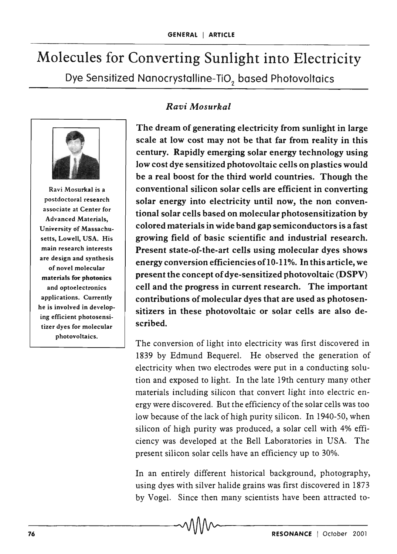# Molecules for Converting Sunlight into Electricity Dye Sensitized Nanocrystalline-TiO<sub>2</sub> based Photovoltaics



Ravi Mosurkal is a postdoctoral research associate at Center for Advanced Materials, University of Massachusetts, Lowell, USA. His main research interests are design and synthesis of novel molecular materials for photonics and optoelectronics applications. Currently he is involved in developing efficient photosensitizer dyes for molecular photovoltaics.

## *Ravi Mosurkal*

The dream of generating electricity from sunlight in large scale at low cost may not be that far from reality in this century. Rapidly emerging solar energy technology using low cost dye sensitized photovoltaic cells on plastics would be a real boost for the third world countries. Though the conventional silicon solar cells are efficient in converting solar energy into electricity until now, the non conventional solar cells based on molecular photosensitization by colored materials in wide band gap semiconductors is a fast growing field of basic scientific and industrial research. Present state-of-the-art cells using molecular dyes shows energy conversion efficiencies of 10-11%. In this article, we present the concept of dye-sensitized photovoltaic (DSPV) cell and the progress in current research. The important contributions of molecular dyes that are used as photosensitizers in these photovoltaic or solar cells are also described.

The conversion of light into electricity was first discovered in 1839 by Edmund Bequerel. He observed the generation of electricity when two electrodes were put in a conducting solution and exposed to light. In the late 19th century many other materials including silicon that convert light into electric energy were discovered. But the efficiency of the solar cells was too low because of the lack of high purity silicon. In 1940-50, when silicon of high purity was produced, a solar cell with 4% efficiency was developed at the Bell Laboratories in USA. The present silicon solar cells have an efficiency up to 30%.

In an entirely different historical background, photography, using dyes with silver halide grains was first discovered in 1873 by Vogel. Since then many scientists have been attracted to~

 $76-76-76$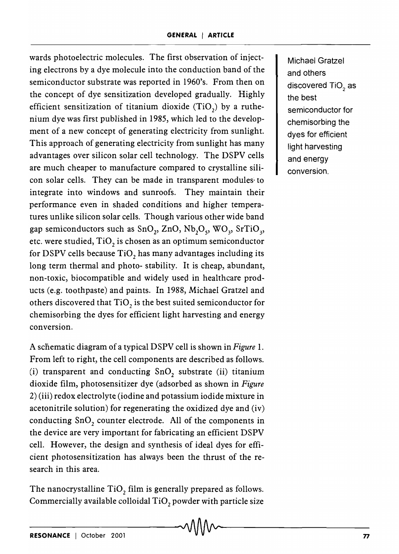wards photoelectric molecules. The first observation of injecting electrons by a dye molecule into the conduction band of the semiconductor substrate was reported in 1960's. From then on the concept of dye sensitization developed gradually. Highly efficient sensitization of titanium dioxide  $(TiO<sub>2</sub>)$  by a ruthenium dye was first published in 1985, which led to the development of a new concept of generating electricity from sunlight. This approach of generating electricity from sunlight has many advantages over silicon solar cell technology. The DSPV cells are much cheaper to manufacture compared to crystalline silicon solar cells. They can be made in transparent modules· to integrate into windows and sunroofs. They maintain their performance even in shaded conditions and higher temperatures unlike silicon solar cells. Though various other wide band gap semiconductors such as  $SnO_2$ , ZnO,  $Nb_2O_5$ , WO<sub>3</sub>, SrTiO<sub>3</sub>, etc. were studied, TiO, is chosen as an optimum semiconductor for DSPV cells because  $TiO<sub>2</sub>$  has many advantages including its long term thermal and photo- stability. It is cheap, abundant, non-toxic, biocompatible and widely used in healthcare products (e.g. toothpaste) and paints. In 1988, Michael Gratzel and others discovered that  $TiO<sub>2</sub>$  is the best suited semiconductor for chemisorbing the dyes for efficient light harvesting and energy conversion.

A schematic diagram of a typical DSPV cell is shown in *Figure* 1. From left to right, the cell components are described as follows. (i) transparent and conducting  $SnO$ , substrate (ii) titanium dioxide film, photosensitizer dye (adsorbed as shown in *Figure*  2) (iii) redox electrolyte (iodine and potassium iodide mixture in acetonitrile solution) for regenerating the oxidized dye and (iv) conducting SnO<sub>2</sub> counter electrode. All of the components in the device are very important for fabricating an efficient DSPV cell. However, the design and synthesis of ideal dyes for efficient photosensitization has always been the thrust of the research in this area.

The nanocrystalline  $TiO$ , film is generally prepared as follows. Commercially available colloidal  $TiO<sub>2</sub>$  powder with particle size Michael Gratzel and others discovered TiO<sub>2</sub> as the best semiconductor for chemisorbing the dyes for efficient light harvesting and energy conversion.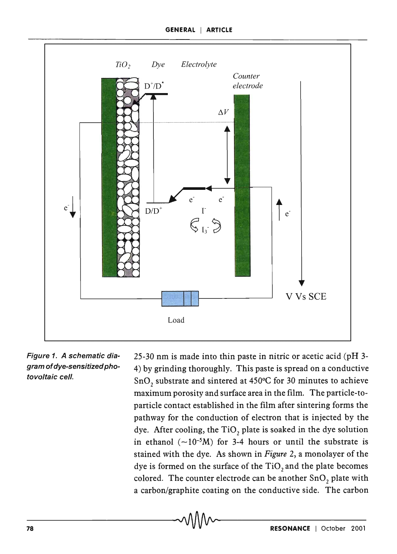#### **GENERAL I ARTICLE**



Figure 1. A schematic diagram of dye-sensitized photovoltaic cell.

25-30 nm is made into thin paste in nitric or acetic acid (pH 3- 4) by grinding thoroughly. This paste is spread on a conductive SnO<sub>2</sub> substrate and sintered at 450 $^{\circ}$ C for 30 minutes to achieve maximum porosity and surface area in the film. The particle-toparticle contact established in the film after sintering forms the pathway for the conduction of electron that is injected by the dye. After cooling, the  $TiO<sub>2</sub>$  plate is soaked in the dye solution in ethanol  $(-10^{-5}M)$  for 3-4 hours or until the substrate is stained with the dye. As shown in *Figure* 2, a monolayer of the dye is formed on the surface of the  $TiO$ , and the plate becomes colored. The counter electrode can be another SnO<sub>2</sub> plate with a carbon/graphite coating on the conductive side. The carbon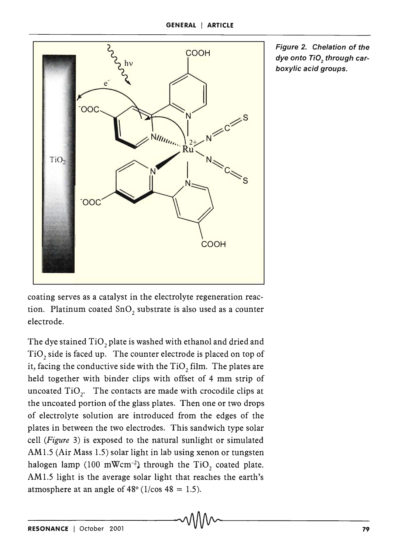

Figure 2. Chelation of the dye onto TiO, through carboxylic acid groups.

coating serves as a catalyst in the electrolyte regeneration reaction. Platinum coated  $SnO<sub>2</sub>$  substrate is also used as a counter electrode.

The dye stained  $\rm TiO_2$  plate is washed with ethanol and dried and  $\rm TiO_2$  side is faced up. The counter electrode is placed on top of it, facing the conductive side with the TiO, film. The plates are held together with binder clips with offset of 4 mm strip of uncoated  $TiO<sub>2</sub>$ . The contacts are made with crocodile clips at the uncoated portion of the glass plates. Then one or two drops of electrolyte solution are introduced from the edges of the plates in between the two electrodes. This sandwich type solar cell *(Figure* 3) is exposed to the natural sunlight or simulated AM1.5 (Air Mass 1.5) solar light in lab using xenon or tungsten halogen lamp (100 mWcm<sup>-2</sup>) through the TiO<sub>2</sub> coated plate. AM1.5 light is the average solar light that reaches the earth's atmosphere at an angle of  $48^{\circ}$  (1/cos  $48 = 1.5$ ).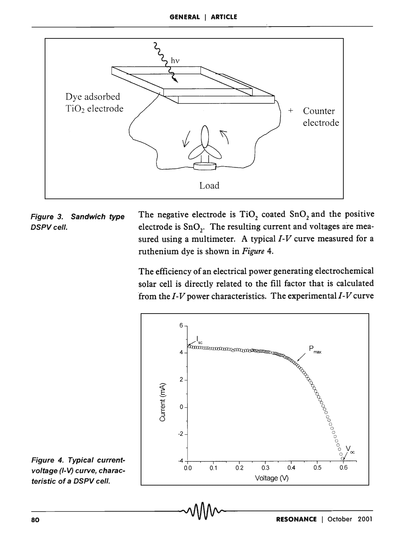

### Figure 3. Sandwich type DSPV cell.

The negative electrode is  $TiO<sub>2</sub>$  coated  $SnO<sub>2</sub>$  and the positive electrode is  $\text{SnO}_2$ . The resulting current and voltages are measured using a multimeter. A typical J-*V* curve measured for a ruthenium dye is shown in *Figure 4.* 

The efficiency of an electrical power generating electrochemical solar cell is directly related to the fill factor that is calculated from the  $I-V$  power characteristics. The experimental  $I-V$  curve



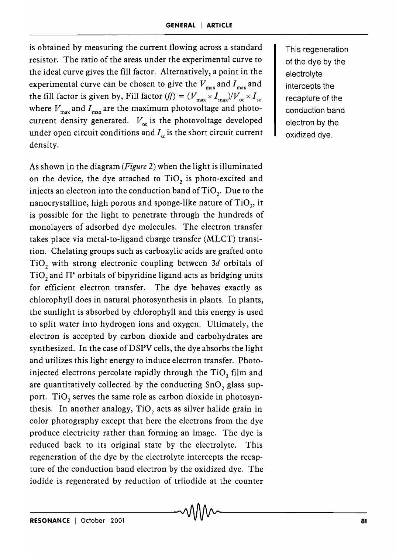is obtained by measuring the current flowing across a standard resistor. The ratio of the areas under the experimental curve to the ideal curve gives the fill factor. Alternatively, a point in the experimental curve can be chosen to give the  $V_{\text{max}}$  and  $I_{\text{max}}$  and the fill factor is given by, Fill factor  $(ff) = (V_{\text{max}} \times I_{\text{max}})/V_{\text{oc}} \times I_{\text{sc}}$ where  $V_{\text{max}}$  and  $I_{\text{max}}$  are the maximum photovoltage and photocurrent density generated.  $V_{oc}$  is the photovoltage developed under open circuit conditions and  $I_{\rm sc}$  is the short circuit current density.

As shown in the diagram *(Figure* 2) when the light is illuminated on the device, the dye attached to  $TiO<sub>2</sub>$  is photo-excited and injects an electron into the conduction band of  $TiO<sub>2</sub>$ . Due to the nanocrystalline, high porous and sponge-like nature of  $TiO<sub>2</sub>$ , it is possible for the light to penetrate through the hundreds of monolayers of adsorbed dye molecules. The electron transfer takes place via metal-to-ligand charge transfer (MLCT) transition. Chelating groups such as carboxylic acids are grafted onto TiO<sub>2</sub> with strong electronic coupling between 3d orbitals of  $TiO$ , and  $II^*$  orbitals of bipyridine ligand acts as bridging units for efficient electron transfer. The dye behaves exactly as chlorophyll does in natural photosynthesis in plants. In plants, the sunlight is absorbed by chlorophyll and this energy is used to split water into hydrogen ions and oxygen. Ultimately, the electron is accepted by carbon dioxide and carbohydrates are synthesized. In the case of DSPV cells, the dye absorbs the light and utilizes this light energy to induce electron transfer. Photoinjected electrons percolate rapidly through the TiO<sub>2</sub> film and are quantitatively collected by the conducting  $SnO$ , glass support. TiO<sub>2</sub> serves the same role as carbon dioxide in photosynthesis. In another analogy,  $TiO<sub>2</sub>$  acts as silver halide grain in color photography except that here the electrons from the dye produce electricity rather than forming an image. The dye is reduced back to its original state by the electrolyte. This regeneration of the dye by the electrolyte intercepts the recapture of the conduction band electron by the oxidized dye. The iodide is regenerated by reduction of triiodide at the counter

This regeneration of the dye by the electrolyte intercepts the recapture of the conduction band electron by the oxidized dye.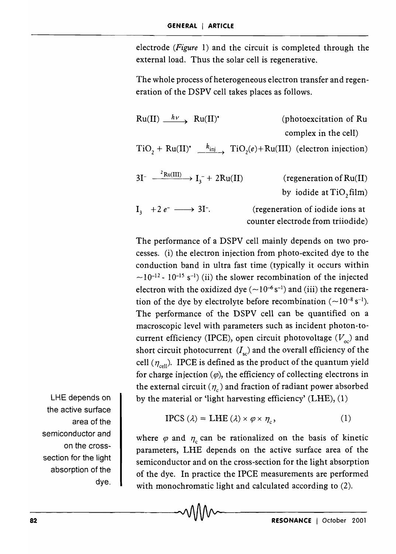electrode *(Figure* 1) and the circuit is completed through the external load. Thus the solar cell is regenerative.

The whole process of heterogeneous electron transfer and regeneration of the DSPV cell takes places as follows.

$$
\begin{array}{ccc}\n\text{Ru(II)} \xrightarrow{h\nu} & \text{Ru(II)}^* & \text{(photoexcitation of Ru} \\
& \text{complex in the cell)} \\
\text{TiO}_2 + \text{Ru(II)}^* & \xrightarrow{k_{\text{inj}}} \text{TiO}_2(e) + \text{Ru(III)} & \text{(electron injection)} \\
\text{3I}^- & \xrightarrow{2\text{Ru(III)}} \text{I}_3^- + 2\text{Ru(II)} & \text{(regeneration of Ru(II)} \\
\text{I}_3 + 2\ e^- & \xrightarrow{3I^-} & \text{(regeneration of iodide ions at} \\
\text{counter electrode from triiodide)}\n\end{array}
$$

The performance of a DSPV cell mainly depends on two processes. (i) the electron injection from photo-excited dye to the conduction band in ultra fast time (typically it occurs within  $\sim$ 10<sup>-12</sup> - 10<sup>-15</sup> s<sup>-1</sup>) (ii) the slower recombination of the injected electron with the oxidized dye  $(-10^{-6} s^{-1})$  and (iii) the regeneration of the dye by electrolyte before recombination  $(-10^{-8} s^{-1})$ . The performance of the DSPV cell can be quantified on a macroscopic level with parameters such as incident photon-tocurrent efficiency (IPCE), open circuit photovoltage  $(V_{\infty})$  and short circuit photocurrent  $(I_{\rm sc})$  and the overall efficiency of the cell  $(\eta_{\text{cell}})$ . IPCE is defined as the product of the quantum yield for charge injection  $(\varphi)$ , the efficiency of collecting electrons in the external circuit  $(\eta_c)$  and fraction of radiant power absorbed by the material or 'light harvesting efficiency' (LHE), (1)

$$
IPCS (\lambda) = LHE (\lambda) \times \varphi \times \eta_c, \qquad (1)
$$

where  $\varphi$  and  $\eta_c$  can be rationalized on the basis of kinetic parameters, LHE depends on the active surface area of the semiconductor and on the cross-section for the light absorption of the dye. In practice the IPCE measurements are performed with monochromatic light and calculated according to (2).

LHE depends on the active surface area of the semiconductor and on the crosssection for the light absorption of the dye.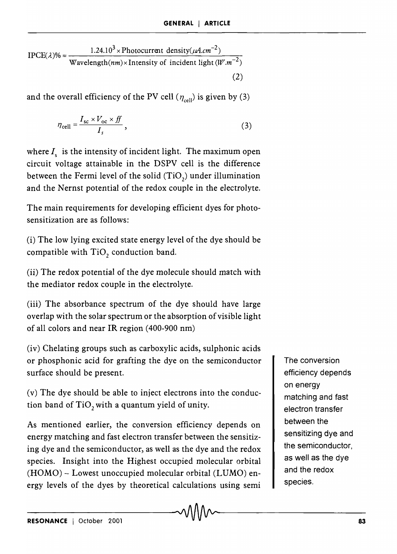$$
IPCE(\lambda)\% = \frac{1.24.10^3 \times \text{Photocurrent density}(\mu A.cm^{-2})}{\text{Wavelength}(nm) \times \text{Intensity of incident light}(W.m^{-2})}
$$
(2)

and the overall efficiency of the PV cell  $(\eta_{cell})$  is given by (3)

$$
\eta_{\text{cell}} = \frac{I_{\text{sc}} \times V_{\text{oc}} \times ff}{I_s},\tag{3}
$$

where  $I_s$  is the intensity of incident light. The maximum open circuit voltage attainable in the DSPV cell is the difference between the Fermi level of the solid  $\rm (TiO_2)$  under illumination and the Nernst potential of the redox couple in the electrolyte.

The main requirements for developing efficient dyes for photosensitization are as follows:

(i) The low lying excited state energy level of the dye should be compatible with TiO<sub>2</sub> conduction band.

(ii) The redox potential of the dye molecule should match with the mediator redox couple in the electrolyte.

(iii) The absorbance spectrum of the dye should have large overlap with the solar spectrum or the absorption of visible light of all colors and near **IR** region (400-900 nm)

(iv) Chelating groups such as carboxylic acids, sulphonic acids or phosphonic acid for grafting the dye on the semiconductor surface should be present.

(v) The dye should be able to inject electrons into the conduction band of  $TiO<sub>2</sub>$  with a quantum yield of unity.

As mentioned earlier, the conversion efficiency depends on energy matching and fast electron transfer between the sensitizing dye and the semiconductor, as well as the dye and the redox species. Insight into the Highest occupied molecular orbital  $(HOMO)$  – Lowest unoccupied molecular orbital  $(LUMO)$  energy levels of the dyes by theoretical calculations using semi

The conversion efficiency depends on energy matching and fast electron transfer between the sensitizing dye and the semiconductor, as well as the dye and the redox species.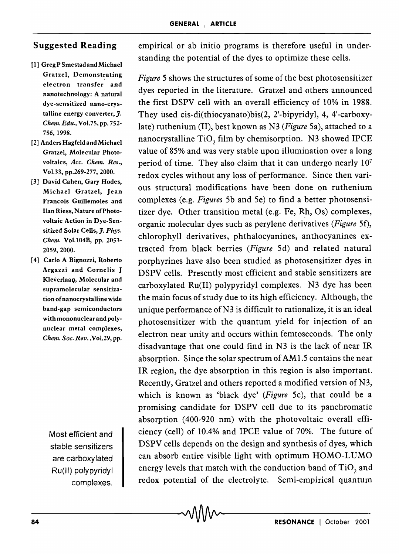# Suggested Reading

- [1] Greg P Smestad and Michael Gratzel, Demonstrating electron transfer and nanotechnology: A natural dye-sensitized nano-crystalline energy converter,  $\tilde{\jmath}$ . *Chern. Edu.,* Vol.75,pp. 752- 756,1998.
- [2] Anders Hagfeld and Michael Gratzel, Molecular Photovoltaics, *Ace. Chern. Res.,*  Vol.33, pp.269-277, 2000.
- [3] David Cahen, Gary Hodes, Michael Gratzel, Jean Francois Guillemoles and Han Riess, Nature of Photovoltaic Action in Dye-Sensitized Solar Cells, J. *Phys. Chern.* VoI.I04B, pp. 2053- 2059,2000.
- [4] Carlo A Bignozzi, Roberto Argazzi and Cornelis J KIeverlaaq, Molecular and supramolecular sensitization of nanocrystalline wide band-gap semiconductors with mononuclear and polynuclear metal complexes, *Chern. Soc. Rev.* ,VoI.29, pp.

Most efficient and stable sensitizers are carboxylated Ru(II) polypyridyl complexes.

empirical or ab initio programs is therefore useful in understanding the potential of the dyes to optimize these cells.

*Figure* 5 shows the structures of some of the best photosensitizer dyes reported in the literature. Gratzel and others announced the first DSPV cell with an overall efficiency of 10% in 1988. They used cis-di(thiocyanato)bis(2, 2'-bipyridyl, 4, 4'-carboxylate) ruthenium (II), best known as N3 *(Figure* Sa), attached to a nanocrystalline TiO, film by chemisorption. N3 showed IPCE value of 85% and was very stable upon illumination over a long period of time. They also claim that it can undergo nearly  $10<sup>7</sup>$ redox cycles without any loss of performance. Since then various structural modifications have been done on ruthenium complexes (e.g. *Figures* Sb and Se) to find a better photosensitizer dye. Other transition metal (e.g. Fe, Rh, Os) complexes, organic molecular dyes such as perylene derivatives *(Figure* Sf), chlorophyll derivatives, phthalocyanines, anthocyanines extracted from black berries *(Figure* Sd) and related natural porphyrines have also been studied as photosensitizer dyes in DSPV cells. Presently most efficient and stable sensitizers are carboxylated Ru(II) polypyridyl complexes. N3 dye has been the main focus of study due to its high efficiency. Although, the unique performance of N3 is difficult to rationalize, it is an ideal photosensitizer with the quantum yield for injection of an electron near unity and occurs within femtoseconds. The only disadvantage that one could find in N3 is the lack of near IR absorption. Since the solar spectrum of AM1.5 contains the near IR region, the dye absorption in this region is also important. Recently, Gratzel and others reported a modified version of N3, which is known as 'black dye' *(Figure* Sc), that could be a promising candidate for DSPV cell due to its panchromatic absorption (400-920 nm) with the photovoltaic overall efficiency (cell) of 10.4% and IPCE value of 70%. The future of DSPV cells depends on the design and synthesis of dyes, which can absorb entire visible light with optimum HOMO-LUMO energy levels that match with the conduction band of TiO, and redox potential of the electrolyte. Semi-empirical quantum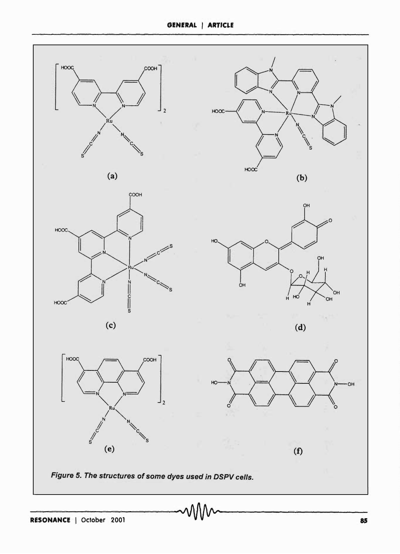**GENERAL I ARTICLE**